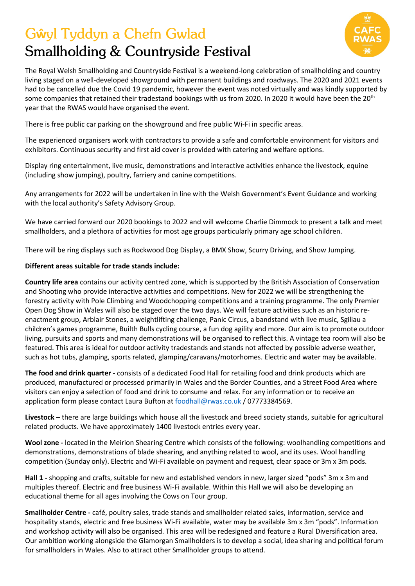## **Gŵyl Tyddyn a Chefn Gwlad** Smallholding & Countryside Festival



The Royal Welsh Smallholding and Countryside Festival is a weekend-long celebration of smallholding and country living staged on a well-developed showground with permanent buildings and roadways. The 2020 and 2021 events had to be cancelled due the Covid 19 pandemic, however the event was noted virtually and was kindly supported by some companies that retained their tradestand bookings with us from 2020. In 2020 it would have been the 20<sup>th</sup> year that the RWAS would have organised the event.

There is free public car parking on the showground and free public Wi-Fi in specific areas.

The experienced organisers work with contractors to provide a safe and comfortable environment for visitors and exhibitors. Continuous security and first aid cover is provided with catering and welfare options.

Display ring entertainment, live music, demonstrations and interactive activities enhance the livestock, equine (including show jumping), poultry, farriery and canine competitions.

Any arrangements for 2022 will be undertaken in line with the Welsh Government's Event Guidance and working with the local authority's Safety Advisory Group.

We have carried forward our 2020 bookings to 2022 and will welcome Charlie Dimmock to present a talk and meet smallholders, and a plethora of activities for most age groups particularly primary age school children.

There will be ring displays such as Rockwood Dog Display, a BMX Show, Scurry Driving, and Show Jumping.

## **Different areas suitable for trade stands include:**

**Country life area** contains our activity centred zone, which is supported by the British Association of Conservation and Shooting who provide interactive activities and competitions. New for 2022 we will be strengthening the forestry activity with Pole Climbing and Woodchopping competitions and a training programme. The only Premier Open Dog Show in Wales will also be staged over the two days. We will feature activities such as an historic reenactment group, Arblair Stones, a weightlifting challenge, Panic Circus, a bandstand with live music, Sgiliau a children's games programme, Builth Bulls cycling course, a fun dog agility and more. Our aim is to promote outdoor living, pursuits and sports and many demonstrations will be organised to reflect this. A vintage tea room will also be featured. This area is ideal for outdoor activity tradestands and stands not affected by possible adverse weather, such as hot tubs, glamping, sports related, glamping/caravans/motorhomes. Electric and water may be available.

**The food and drink quarter -** consists of a dedicated Food Hall for retailing food and drink products which are produced, manufactured or processed primarily in Wales and the Border Counties, and a Street Food Area where visitors can enjoy a selection of food and drink to consume and relax. For any information or to receive an application form please contact Laura Bufton at [foodhall@rwas.co.uk](mailto:foodhall@rwas.co.uk) / 07773384569.

**Livestock –** there are large buildings which house all the livestock and breed society stands, suitable for agricultural related products. We have approximately 1400 livestock entries every year.

**Wool zone -** located in the Meirion Shearing Centre which consists of the following: woolhandling competitions and demonstrations, demonstrations of blade shearing, and anything related to wool, and its uses. Wool handling competition (Sunday only). Electric and Wi-Fi available on payment and request, clear space or 3m x 3m pods.

**Hall 1 -** shopping and crafts, suitable for new and established vendors in new, larger sized "pods" 3m x 3m and multiples thereof. Electric and free business Wi-Fi available. Within this Hall we will also be developing an educational theme for all ages involving the Cows on Tour group.

**Smallholder Centre -** café, poultry sales, trade stands and smallholder related sales, information, service and hospitality stands, electric and free business Wi-Fi available, water may be available 3m x 3m "pods". Information and workshop activity will also be organised. This area will be redesigned and feature a Rural Diversification area. Our ambition working alongside the Glamorgan Smallholders is to develop a social, idea sharing and political forum for smallholders in Wales. Also to attract other Smallholder groups to attend.